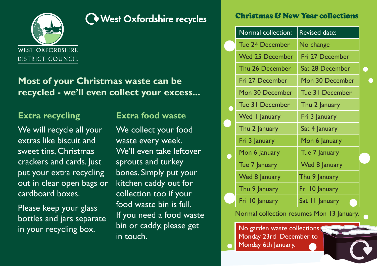

# **West Oxfordshire recycles**

**Most of your Christmas waste can be recycled - we'll even collect your excess...**

## **Extra recycling**

We will recycle all your extras like biscuit and sweet tins, Christmas crackers and cards. Just put your extra recycling out in clear open bags or cardboard boxes.

Please keep your glass bottles and jars separate in your recycling box.

### **Extra food waste**

We collect your food waste every week. We'll even take leftover sprouts and turkey bones. Simply put your kitchen caddy out for collection too if your food waste bin is full. If you need a food waste bin or caddy, please get in touch.

### Christmas & New Year collections

| Normal collection: | <b>Revised date:</b> |   |
|--------------------|----------------------|---|
| Tue 24 December    | No change            |   |
| Wed 25 December    | Fri 27 December      |   |
| Thu 26 December    | Sat 28 December      | n |
| Fri 27 December    | Mon 30 December      |   |
| Mon 30 December    | Tue 31 December      |   |
| Tue 31 December    | Thu 2 January        |   |
| Wed I January      | Fri 3 January        |   |
| Thu 2 January      | Sat 4 January        |   |
| Fri 3 January      | Mon 6 January        |   |
| Mon 6 January      | Tue 7 January        |   |
| Tue 7 January      | Wed 8 January        |   |
| Wed 8 January      | Thu 9 January        |   |
| Thu 9 January      | Fri 10 January       |   |
| Fri 10 January     | Sat II January       |   |

#### Normal collection resumes Mon 13 January.

No garden waste collections Monday 23rd December to Monday 6th January.